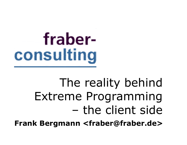## The reality behind Extreme Programming – the client side

**Frank Bergmann <fraber@fraber.de>**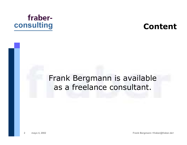

#### **Content**

#### Frank Bergmann is available as a freelance consultant.

**mayo 4, 2002 Frank Bergmann <fraber@fraber.de>**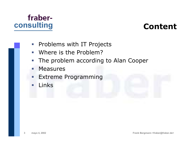

#### **Content**

- $\overline{\mathbb{R}^n}$ Problems with IT Projects
- $\overline{\phantom{a}}$ Where is the Problem?
- $\mathcal{L}_{\mathcal{A}}$ The problem according to Alan Cooper
- ٠ **Measures**
- $\blacksquare$ Extreme Programming
- n. Links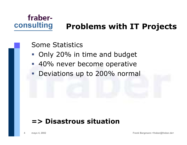#### **Problems with IT Projects**

#### Some Statistics

- Only 20% in time and budget
- 40% never become operative
- **Deviations up to 200% normal**

#### **=> Disastrous situation**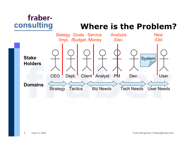#### **Where is the Problem?**

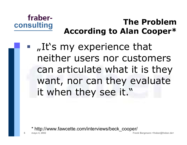

#### **The ProblemAccording to Alan Cooper\***

■ "It's my experience that neither users nor customers can articulate what it is they want, nor can they evaluate it when they see it."

http://www.fawcette.com/interviews/beck\_cooper/

**6**

**mayo 4, 2002 Frank Bergmann <fraber@fraber.de>**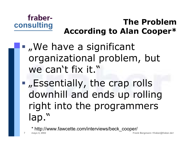

#### **The ProblemAccording to Alan Cooper\***

- ... We have a significant organizational problem, but we can't fix it."
- ...Essentially, the crap rolls downhill and ends up rolling right into the programmers lap."
	- \* http://www.fawcette.com/interviews/beck\_cooper/

**7**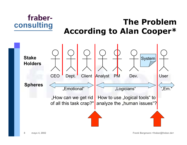

#### **The ProblemAccording to Alan Cooper\***

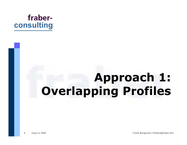

## **Approach 1: Overlapping Profiles**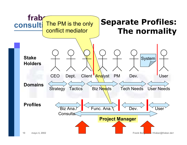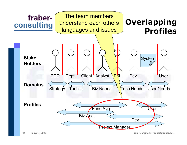![](_page_10_Figure_0.jpeg)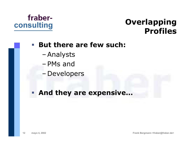#### **Overlapping Profiles**

#### $\mathcal{L}_{\mathcal{A}}$ **But there are few such:**

- –Analysts
- –PMs and
- –Developers

#### **And they are expensive...**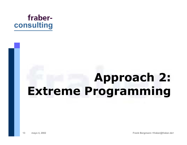![](_page_12_Picture_0.jpeg)

## **Approach 2: Extreme Programming**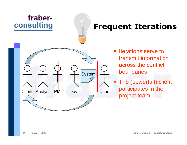![](_page_13_Figure_0.jpeg)

#### **Frequent Iterations**

- $\mathbb{Z}^{\mathbb{Z}}$  Iterations serve totransmit informationacross the conflict boundaries
- The (powerful!) client participates in the project team.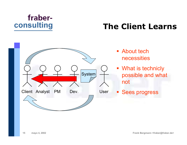### **The Client Learns**

![](_page_14_Figure_2.jpeg)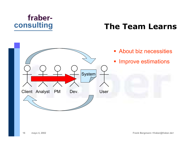#### **The Team Learns**

![](_page_15_Figure_2.jpeg)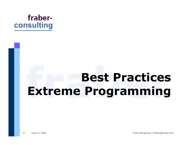![](_page_16_Picture_0.jpeg)

## **Best Practices Extreme Programming**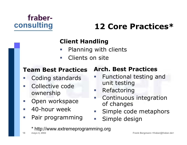### **12 Core Practices\***

#### **Client Handling**

- **Service Service** Planning with clients
- $\overline{\phantom{a}}$ Clients on site

#### **Team Best Practices**

- Coding standards
- Collective codeownership
- Open workspace
- $\Box$ 40-hour week

**18**

 $\mathbb{R}^n$ Pair programming

#### **Arch. Best Practices**

- **Service Service**  Functional testing and unit testing
- $\overline{\mathbb{Z}}$ Refactoring
- **I**  Continuous integration of changes
- $\mathcal{L}_{\mathcal{A}}$ Simple code metaphors
- **Service Service** Simple design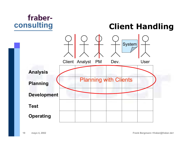![](_page_18_Picture_0.jpeg)

**Client Handling**

![](_page_18_Figure_2.jpeg)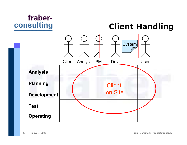![](_page_19_Picture_0.jpeg)

**Client Handling**

![](_page_19_Figure_2.jpeg)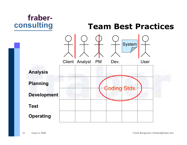![](_page_20_Figure_0.jpeg)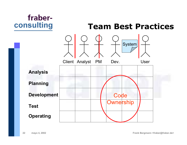![](_page_21_Figure_0.jpeg)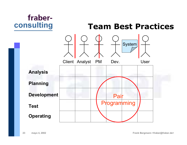![](_page_22_Figure_0.jpeg)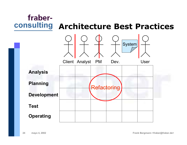![](_page_23_Figure_0.jpeg)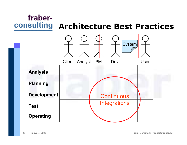![](_page_24_Figure_0.jpeg)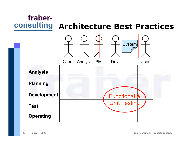![](_page_25_Figure_0.jpeg)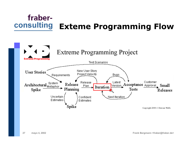#### fraberconsulting **Exteme Programming Flow**

![](_page_26_Figure_1.jpeg)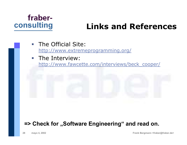![](_page_27_Picture_0.jpeg)

### **Links and References**

- $\overline{\phantom{a}}$  The Official Site: http://www.extremeprogramming.org/
- **The Interview:** http://www.fawcette.com/interviews/beck\_cooper/

#### => Check for "Software Engineering" and read on.